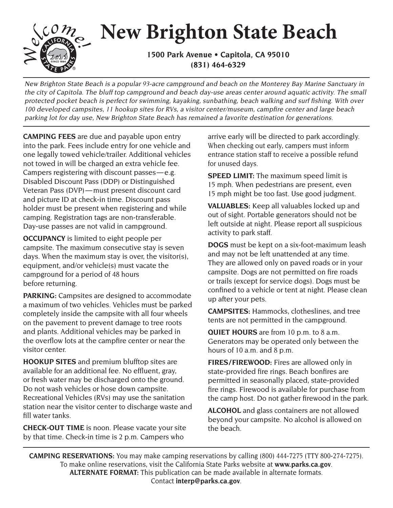

## **New Brighton State Beach**

**1500 Park Avenue • Capitola, CA 95010 (831) 464-6329**

New Brighton State Beach is a popular 93-acre campground and beach on the Monterey Bay Marine Sanctuary in the city of Capitola. The bluff top campground and beach day-use areas center around aquatic activity. The small protected pocket beach is perfect for swimming, kayaking, sunbathing, beach walking and surf fishing. With over 100 developed campsites, 11 hookup sites for RVs, a visitor center/museum, campfire center and large beach parking lot for day use, New Brighton State Beach has remained a favorite destination for generations.

**CAMPING FEES** are due and payable upon entry into the park. Fees include entry for one vehicle and one legally towed vehicle/trailer. Additional vehicles not towed in will be charged an extra vehicle fee. Campers registering with discount passes — e.g. Disabled Discount Pass (DDP) or Distinguished Veteran Pass (DVP) — must present discount card and picture ID at check-in time. Discount pass holder must be present when registering and while camping. Registration tags are non-transferable. Day-use passes are not valid in campground.

**OCCUPANCY** is limited to eight people per campsite. The maximum consecutive stay is seven days. When the maximum stay is over, the visitor(s), equipment, and/or vehicle(s) must vacate the campground for a period of 48 hours before returning.

**PARKING:** Campsites are designed to accommodate a maximum of two vehicles. Vehicles must be parked completely inside the campsite with all four wheels on the pavement to prevent damage to tree roots and plants. Additional vehicles may be parked in the overflow lots at the campfire center or near the visitor center.

**HOOKUP SITES** and premium blufftop sites are available for an additional fee. No effluent, gray, or fresh water may be discharged onto the ground. Do not wash vehicles or hose down campsite. Recreational Vehicles (RVs) may use the sanitation station near the visitor center to discharge waste and fill water tanks.

**CHECK-OUT TIME** is noon. Please vacate your site by that time. Check-in time is 2 p.m. Campers who

arrive early will be directed to park accordingly. When checking out early, campers must inform entrance station staff to receive a possible refund for unused days.

**SPEED LIMIT:** The maximum speed limit is 15 mph. When pedestrians are present, even 15 mph might be too fast. Use good judgment.

**VALUABLES:** Keep all valuables locked up and out of sight. Portable generators should not be left outside at night. Please report all suspicious activity to park staff.

**DOGS** must be kept on a six-foot-maximum leash and may not be left unattended at any time. They are allowed only on paved roads or in your campsite. Dogs are not permitted on fire roads or trails (except for service dogs). Dogs must be confined to a vehicle or tent at night. Please clean up after your pets.

**CAMPSITES:** Hammocks, clotheslines, and tree tents are not permitted in the campground.

**QUIET HOURS** are from 10 p.m. to 8 a.m. Generators may be operated only between the hours of 10 a.m. and 8 p.m.

**FIRES/FIREWOOD:** Fires are allowed only in state-provided fire rings. Beach bonfires are permitted in seasonally placed, state-provided fire rings. Firewood is available for purchase from the camp host. Do not gather firewood in the park.

**ALCOHOL** and glass containers are not allowed beyond your campsite. No alcohol is allowed on the beach.

**CAMPING RESERVATIONS:** You may make camping reservations by calling (800) 444-7275 (TTY 800-274-7275). To make online reservations, visit the California State Parks website at **www.parks.ca.gov**. **ALTERNATE FORMAT:** This publication can be made available in alternate formats. Contact **interp@parks.ca.gov**.